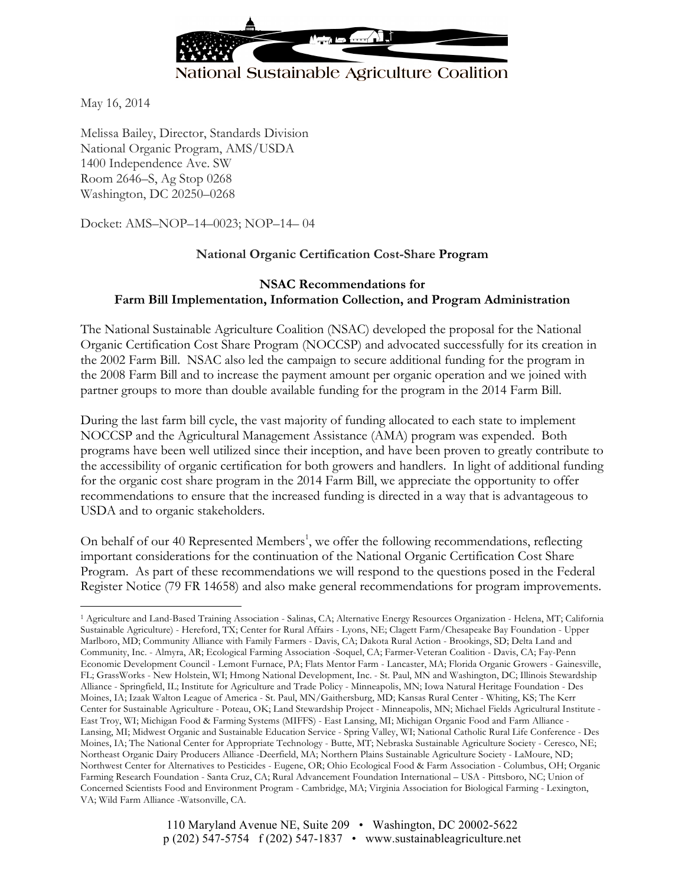

May 16, 2014

 $\overline{a}$ 

Melissa Bailey, Director, Standards Division National Organic Program, AMS/USDA 1400 Independence Ave. SW Room 2646–S, Ag Stop 0268 Washington, DC 20250–0268

Docket: AMS–NOP–14–0023; NOP–14– 04

## **National Organic Certification Cost-Share Program**

#### **NSAC Recommendations for Farm Bill Implementation, Information Collection, and Program Administration**

The National Sustainable Agriculture Coalition (NSAC) developed the proposal for the National Organic Certification Cost Share Program (NOCCSP) and advocated successfully for its creation in the 2002 Farm Bill. NSAC also led the campaign to secure additional funding for the program in the 2008 Farm Bill and to increase the payment amount per organic operation and we joined with partner groups to more than double available funding for the program in the 2014 Farm Bill.

During the last farm bill cycle, the vast majority of funding allocated to each state to implement NOCCSP and the Agricultural Management Assistance (AMA) program was expended. Both programs have been well utilized since their inception, and have been proven to greatly contribute to the accessibility of organic certification for both growers and handlers. In light of additional funding for the organic cost share program in the 2014 Farm Bill, we appreciate the opportunity to offer recommendations to ensure that the increased funding is directed in a way that is advantageous to USDA and to organic stakeholders.

On behalf of our 40 Represented Members<sup>1</sup>, we offer the following recommendations, reflecting important considerations for the continuation of the National Organic Certification Cost Share Program. As part of these recommendations we will respond to the questions posed in the Federal Register Notice (79 FR 14658) and also make general recommendations for program improvements.

<sup>1</sup> Agriculture and Land-Based Training Association - Salinas, CA; Alternative Energy Resources Organization - Helena, MT; California Sustainable Agriculture) - Hereford, TX; Center for Rural Affairs - Lyons, NE; Clagett Farm/Chesapeake Bay Foundation - Upper Marlboro, MD; Community Alliance with Family Farmers - Davis, CA; Dakota Rural Action - Brookings, SD; Delta Land and Community, Inc. - Almyra, AR; Ecological Farming Association -Soquel, CA; Farmer-Veteran Coalition - Davis, CA; Fay-Penn Economic Development Council - Lemont Furnace, PA; Flats Mentor Farm - Lancaster, MA; Florida Organic Growers - Gainesville, FL; GrassWorks - New Holstein, WI; Hmong National Development, Inc. - St. Paul, MN and Washington, DC; Illinois Stewardship Alliance - Springfield, IL; Institute for Agriculture and Trade Policy - Minneapolis, MN; Iowa Natural Heritage Foundation - Des Moines, IA; Izaak Walton League of America - St. Paul, MN/Gaithersburg, MD; Kansas Rural Center - Whiting, KS; The Kerr Center for Sustainable Agriculture - Poteau, OK; Land Stewardship Project - Minneapolis, MN; Michael Fields Agricultural Institute - East Troy, WI; Michigan Food & Farming Systems (MIFFS) - East Lansing, MI; Michigan Organic Food and Farm Alliance - Lansing, MI; Midwest Organic and Sustainable Education Service - Spring Valley, WI; National Catholic Rural Life Conference - Des Moines, IA; The National Center for Appropriate Technology - Butte, MT; Nebraska Sustainable Agriculture Society - Ceresco, NE; Northeast Organic Dairy Producers Alliance -Deerfield, MA; Northern Plains Sustainable Agriculture Society - LaMoure, ND; Northwest Center for Alternatives to Pesticides - Eugene, OR; Ohio Ecological Food & Farm Association - Columbus, OH; Organic Farming Research Foundation - Santa Cruz, CA; Rural Advancement Foundation International – USA - Pittsboro, NC; Union of Concerned Scientists Food and Environment Program - Cambridge, MA; Virginia Association for Biological Farming - Lexington, VA; Wild Farm Alliance -Watsonville, CA.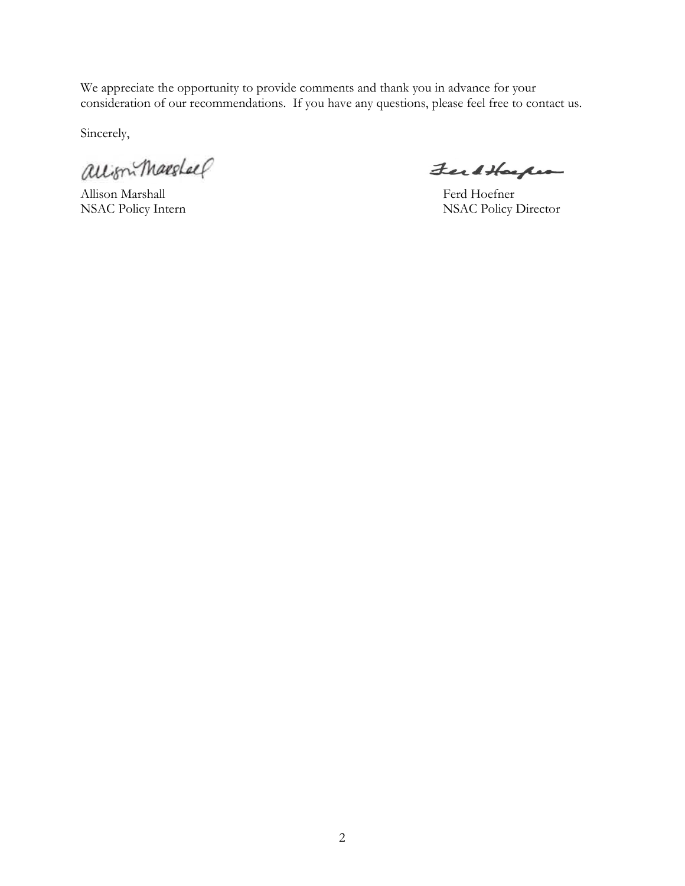We appreciate the opportunity to provide comments and thank you in advance for your consideration of our recommendations. If you have any questions, please feel free to contact us.

Sincerely,

allism Marshall

Allison Marshall Ferd Hoefner

FerdHarper

NSAC Policy Intern NSAC Policy Director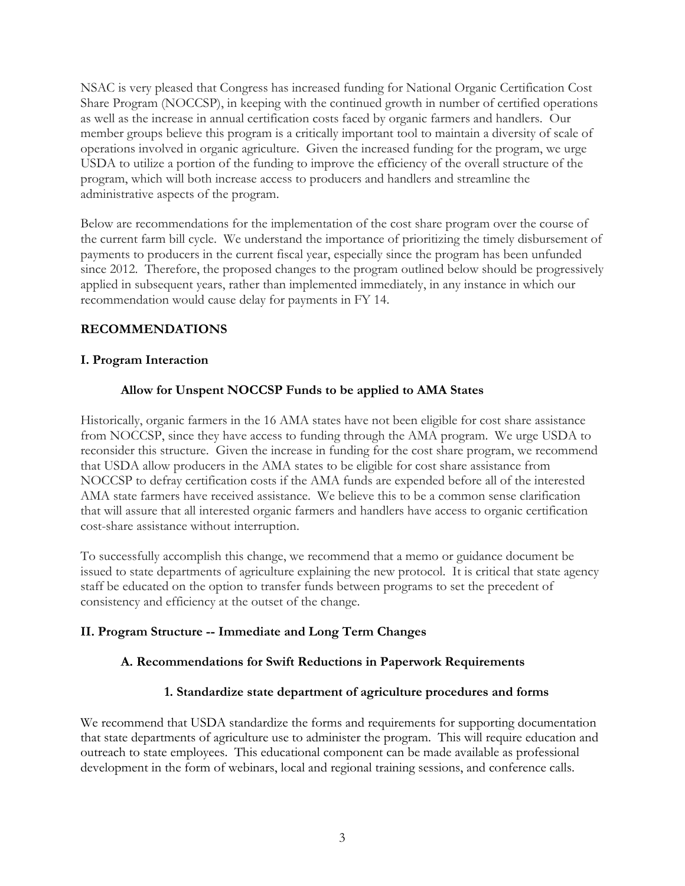NSAC is very pleased that Congress has increased funding for National Organic Certification Cost Share Program (NOCCSP), in keeping with the continued growth in number of certified operations as well as the increase in annual certification costs faced by organic farmers and handlers. Our member groups believe this program is a critically important tool to maintain a diversity of scale of operations involved in organic agriculture. Given the increased funding for the program, we urge USDA to utilize a portion of the funding to improve the efficiency of the overall structure of the program, which will both increase access to producers and handlers and streamline the administrative aspects of the program.

Below are recommendations for the implementation of the cost share program over the course of the current farm bill cycle. We understand the importance of prioritizing the timely disbursement of payments to producers in the current fiscal year, especially since the program has been unfunded since 2012. Therefore, the proposed changes to the program outlined below should be progressively applied in subsequent years, rather than implemented immediately, in any instance in which our recommendation would cause delay for payments in FY 14.

# **RECOMMENDATIONS**

## **I. Program Interaction**

# **Allow for Unspent NOCCSP Funds to be applied to AMA States**

Historically, organic farmers in the 16 AMA states have not been eligible for cost share assistance from NOCCSP, since they have access to funding through the AMA program. We urge USDA to reconsider this structure. Given the increase in funding for the cost share program, we recommend that USDA allow producers in the AMA states to be eligible for cost share assistance from NOCCSP to defray certification costs if the AMA funds are expended before all of the interested AMA state farmers have received assistance. We believe this to be a common sense clarification that will assure that all interested organic farmers and handlers have access to organic certification cost-share assistance without interruption.

To successfully accomplish this change, we recommend that a memo or guidance document be issued to state departments of agriculture explaining the new protocol. It is critical that state agency staff be educated on the option to transfer funds between programs to set the precedent of consistency and efficiency at the outset of the change.

### **II. Program Structure -- Immediate and Long Term Changes**

### **A. Recommendations for Swift Reductions in Paperwork Requirements**

### **1. Standardize state department of agriculture procedures and forms**

We recommend that USDA standardize the forms and requirements for supporting documentation that state departments of agriculture use to administer the program. This will require education and outreach to state employees. This educational component can be made available as professional development in the form of webinars, local and regional training sessions, and conference calls.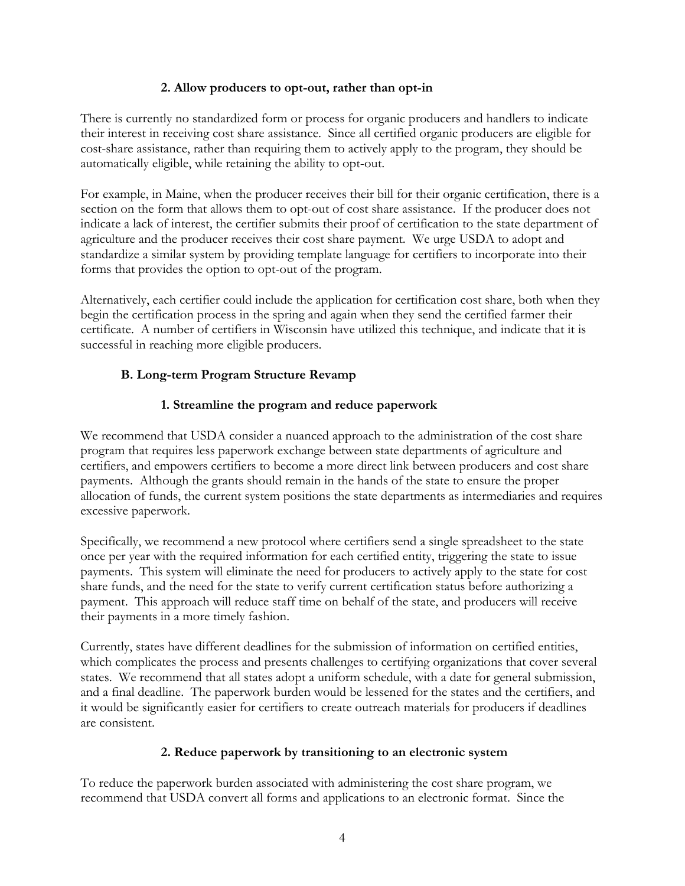### **2. Allow producers to opt-out, rather than opt-in**

There is currently no standardized form or process for organic producers and handlers to indicate their interest in receiving cost share assistance. Since all certified organic producers are eligible for cost-share assistance, rather than requiring them to actively apply to the program, they should be automatically eligible, while retaining the ability to opt-out.

For example, in Maine, when the producer receives their bill for their organic certification, there is a section on the form that allows them to opt-out of cost share assistance. If the producer does not indicate a lack of interest, the certifier submits their proof of certification to the state department of agriculture and the producer receives their cost share payment. We urge USDA to adopt and standardize a similar system by providing template language for certifiers to incorporate into their forms that provides the option to opt-out of the program.

Alternatively, each certifier could include the application for certification cost share, both when they begin the certification process in the spring and again when they send the certified farmer their certificate. A number of certifiers in Wisconsin have utilized this technique, and indicate that it is successful in reaching more eligible producers.

# **B. Long-term Program Structure Revamp**

# **1. Streamline the program and reduce paperwork**

We recommend that USDA consider a nuanced approach to the administration of the cost share program that requires less paperwork exchange between state departments of agriculture and certifiers, and empowers certifiers to become a more direct link between producers and cost share payments. Although the grants should remain in the hands of the state to ensure the proper allocation of funds, the current system positions the state departments as intermediaries and requires excessive paperwork.

Specifically, we recommend a new protocol where certifiers send a single spreadsheet to the state once per year with the required information for each certified entity, triggering the state to issue payments. This system will eliminate the need for producers to actively apply to the state for cost share funds, and the need for the state to verify current certification status before authorizing a payment. This approach will reduce staff time on behalf of the state, and producers will receive their payments in a more timely fashion.

Currently, states have different deadlines for the submission of information on certified entities, which complicates the process and presents challenges to certifying organizations that cover several states. We recommend that all states adopt a uniform schedule, with a date for general submission, and a final deadline. The paperwork burden would be lessened for the states and the certifiers, and it would be significantly easier for certifiers to create outreach materials for producers if deadlines are consistent.

# **2. Reduce paperwork by transitioning to an electronic system**

To reduce the paperwork burden associated with administering the cost share program, we recommend that USDA convert all forms and applications to an electronic format. Since the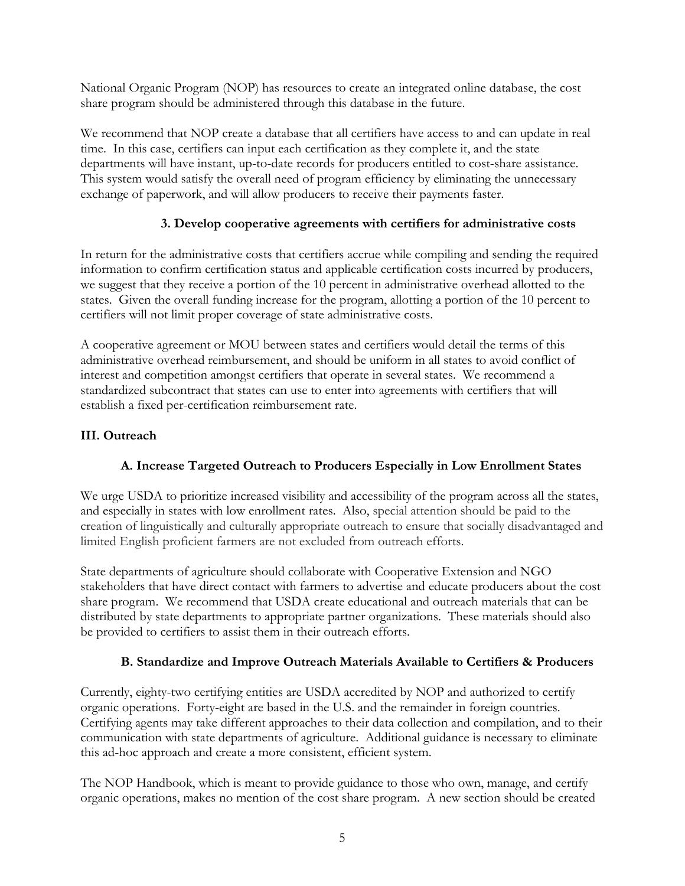National Organic Program (NOP) has resources to create an integrated online database, the cost share program should be administered through this database in the future.

We recommend that NOP create a database that all certifiers have access to and can update in real time. In this case, certifiers can input each certification as they complete it, and the state departments will have instant, up-to-date records for producers entitled to cost-share assistance. This system would satisfy the overall need of program efficiency by eliminating the unnecessary exchange of paperwork, and will allow producers to receive their payments faster.

# **3. Develop cooperative agreements with certifiers for administrative costs**

In return for the administrative costs that certifiers accrue while compiling and sending the required information to confirm certification status and applicable certification costs incurred by producers, we suggest that they receive a portion of the 10 percent in administrative overhead allotted to the states. Given the overall funding increase for the program, allotting a portion of the 10 percent to certifiers will not limit proper coverage of state administrative costs.

A cooperative agreement or MOU between states and certifiers would detail the terms of this administrative overhead reimbursement, and should be uniform in all states to avoid conflict of interest and competition amongst certifiers that operate in several states. We recommend a standardized subcontract that states can use to enter into agreements with certifiers that will establish a fixed per-certification reimbursement rate.

## **III. Outreach**

# **A. Increase Targeted Outreach to Producers Especially in Low Enrollment States**

We urge USDA to prioritize increased visibility and accessibility of the program across all the states, and especially in states with low enrollment rates. Also, special attention should be paid to the creation of linguistically and culturally appropriate outreach to ensure that socially disadvantaged and limited English proficient farmers are not excluded from outreach efforts.

State departments of agriculture should collaborate with Cooperative Extension and NGO stakeholders that have direct contact with farmers to advertise and educate producers about the cost share program. We recommend that USDA create educational and outreach materials that can be distributed by state departments to appropriate partner organizations. These materials should also be provided to certifiers to assist them in their outreach efforts.

### **B. Standardize and Improve Outreach Materials Available to Certifiers & Producers**

Currently, eighty-two certifying entities are USDA accredited by NOP and authorized to certify organic operations. Forty-eight are based in the U.S. and the remainder in foreign countries. Certifying agents may take different approaches to their data collection and compilation, and to their communication with state departments of agriculture. Additional guidance is necessary to eliminate this ad-hoc approach and create a more consistent, efficient system.

The NOP Handbook, which is meant to provide guidance to those who own, manage, and certify organic operations, makes no mention of the cost share program. A new section should be created